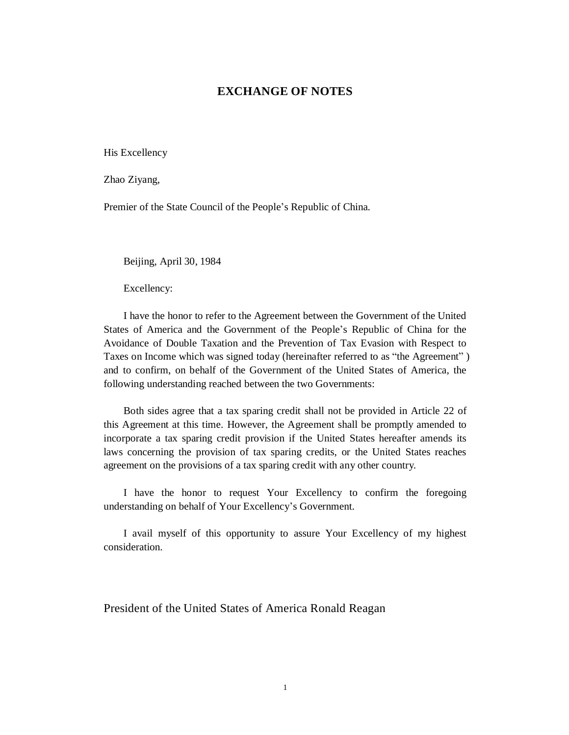## **EXCHANGE OF NOTES**

His Excellency

Zhao Ziyang,

Premier of the State Council of the People's Republic of China.

Beijing, April 30, 1984

Excellency:

I have the honor to refer to the Agreement between the Government of the United States of America and the Government of the People's Republic of China for the Avoidance of Double Taxation and the Prevention of Tax Evasion with Respect to Taxes on Income which was signed today (hereinafter referred to as "the Agreement" ) and to confirm, on behalf of the Government of the United States of America, the following understanding reached between the two Governments:

Both sides agree that a tax sparing credit shall not be provided in Article 22 of this Agreement at this time. However, the Agreement shall be promptly amended to incorporate a tax sparing credit provision if the United States hereafter amends its laws concerning the provision of tax sparing credits, or the United States reaches agreement on the provisions of a tax sparing credit with any other country.

I have the honor to request Your Excellency to confirm the foregoing understanding on behalf of Your Excellency's Government.

I avail myself of this opportunity to assure Your Excellency of my highest consideration.

President of the United States of America Ronald Reagan